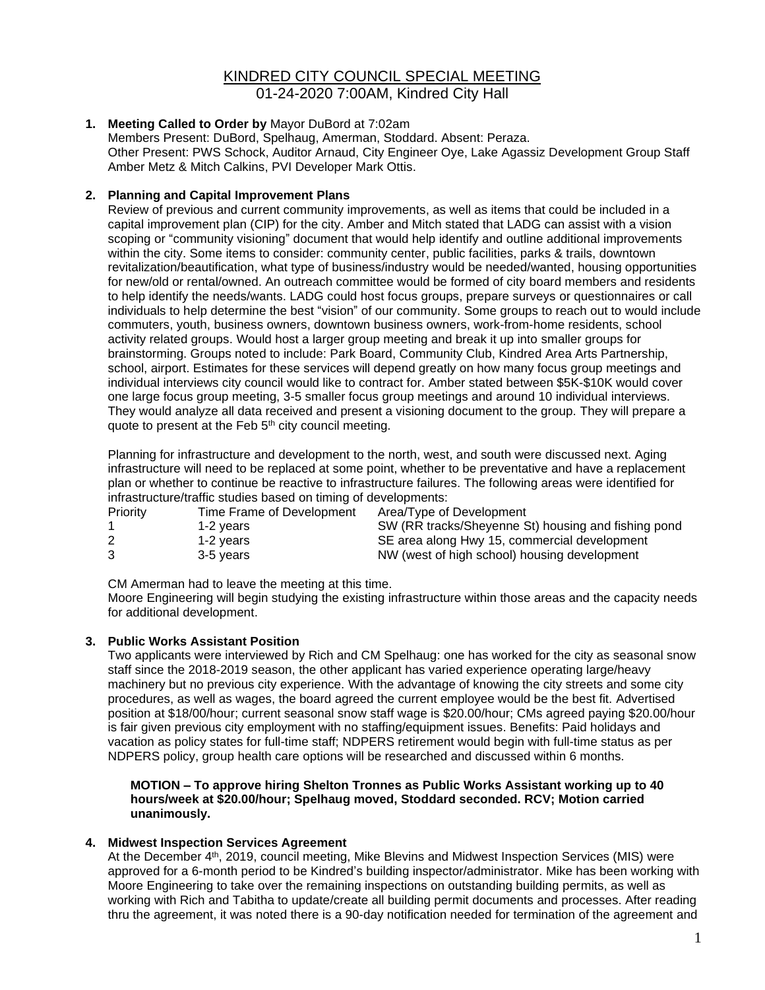# KINDRED CITY COUNCIL SPECIAL MEETING

01-24-2020 7:00AM, Kindred City Hall

## **1. Meeting Called to Order by** Mayor DuBord at 7:02am

Members Present: DuBord, Spelhaug, Amerman, Stoddard. Absent: Peraza. Other Present: PWS Schock, Auditor Arnaud, City Engineer Oye, Lake Agassiz Development Group Staff Amber Metz & Mitch Calkins, PVI Developer Mark Ottis.

## **2. Planning and Capital Improvement Plans**

Review of previous and current community improvements, as well as items that could be included in a capital improvement plan (CIP) for the city. Amber and Mitch stated that LADG can assist with a vision scoping or "community visioning" document that would help identify and outline additional improvements within the city. Some items to consider: community center, public facilities, parks & trails, downtown revitalization/beautification, what type of business/industry would be needed/wanted, housing opportunities for new/old or rental/owned. An outreach committee would be formed of city board members and residents to help identify the needs/wants. LADG could host focus groups, prepare surveys or questionnaires or call individuals to help determine the best "vision" of our community. Some groups to reach out to would include commuters, youth, business owners, downtown business owners, work-from-home residents, school activity related groups. Would host a larger group meeting and break it up into smaller groups for brainstorming. Groups noted to include: Park Board, Community Club, Kindred Area Arts Partnership, school, airport. Estimates for these services will depend greatly on how many focus group meetings and individual interviews city council would like to contract for. Amber stated between \$5K-\$10K would cover one large focus group meeting, 3-5 smaller focus group meetings and around 10 individual interviews. They would analyze all data received and present a visioning document to the group. They will prepare a quote to present at the Feb 5<sup>th</sup> city council meeting.

Planning for infrastructure and development to the north, west, and south were discussed next. Aging infrastructure will need to be replaced at some point, whether to be preventative and have a replacement plan or whether to continue be reactive to infrastructure failures. The following areas were identified for infrastructure/traffic studies based on timing of developments:

| <b>Priority</b> | Time Frame of Development | Area/Type of Development                            |
|-----------------|---------------------------|-----------------------------------------------------|
|                 | 1-2 vears                 | SW (RR tracks/Sheyenne St) housing and fishing pond |
| 2               | 1-2 vears                 | SE area along Hwy 15, commercial development        |
|                 | 3-5 vears                 | NW (west of high school) housing development        |

CM Amerman had to leave the meeting at this time.

Moore Engineering will begin studying the existing infrastructure within those areas and the capacity needs for additional development.

### **3. Public Works Assistant Position**

Two applicants were interviewed by Rich and CM Spelhaug: one has worked for the city as seasonal snow staff since the 2018-2019 season, the other applicant has varied experience operating large/heavy machinery but no previous city experience. With the advantage of knowing the city streets and some city procedures, as well as wages, the board agreed the current employee would be the best fit. Advertised position at \$18/00/hour; current seasonal snow staff wage is \$20.00/hour; CMs agreed paying \$20.00/hour is fair given previous city employment with no staffing/equipment issues. Benefits: Paid holidays and vacation as policy states for full-time staff; NDPERS retirement would begin with full-time status as per NDPERS policy, group health care options will be researched and discussed within 6 months.

**MOTION – To approve hiring Shelton Tronnes as Public Works Assistant working up to 40 hours/week at \$20.00/hour; Spelhaug moved, Stoddard seconded. RCV; Motion carried unanimously.**

### **4. Midwest Inspection Services Agreement**

At the December 4th, 2019, council meeting, Mike Blevins and Midwest Inspection Services (MIS) were approved for a 6-month period to be Kindred's building inspector/administrator. Mike has been working with Moore Engineering to take over the remaining inspections on outstanding building permits, as well as working with Rich and Tabitha to update/create all building permit documents and processes. After reading thru the agreement, it was noted there is a 90-day notification needed for termination of the agreement and